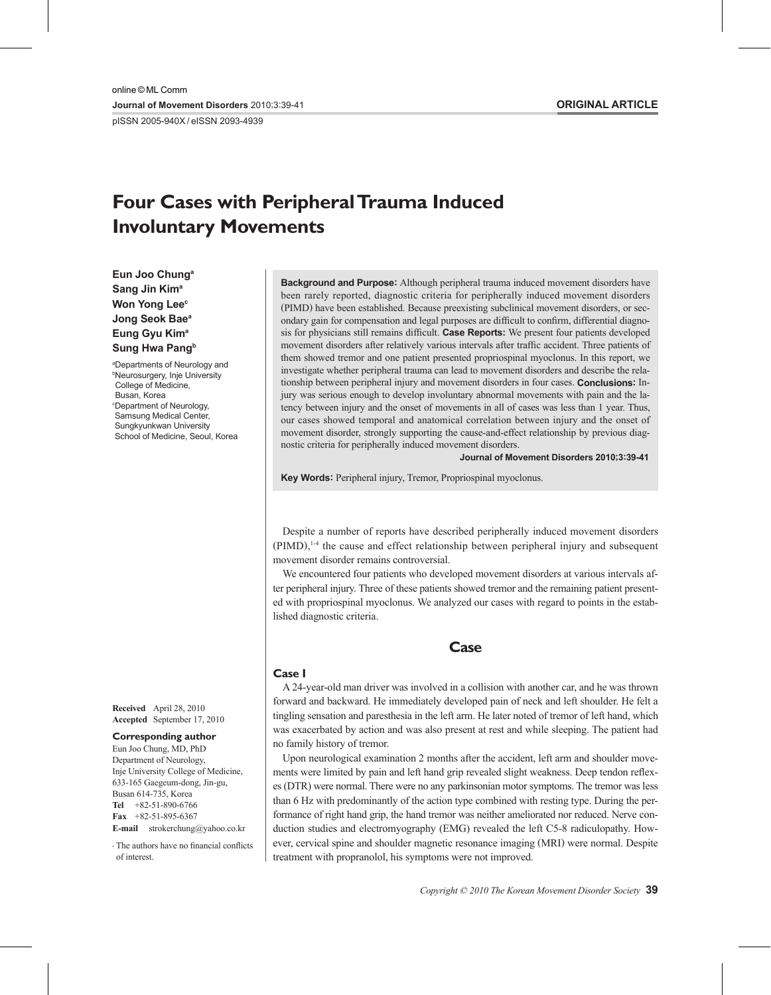pISSN 2005-940X / eISSN 2093-4939

# **Four Cases with Peripheral Trauma Induced Involuntary Movements**

**Eun Joo Chunga Sang Jin Kima Won Yong Lee<sup>c</sup> Jong Seok Baea Eung Gyu Kima Sung Hwa Pangb** 

a Departments of Neurology and b Neurosurgery, Inje University College of Medicine, Busan, Korea c Department of Neurology, Samsung Medical Center, Sungkyunkwan University School of Medicine, Seoul, Korea

**Received**  April 28, 2010 **Accepted**  September 17, 2010

#### **Corresponding author**

Eun Joo Chung, MD, PhD Department of Neurology, Inje University College of Medicine, 633-165 Gaegeum-dong, Jin-gu, Busan 614-735, Korea **Tel** +82-51-890-6766 **Fax** +82-51-895-6367

**E-mail** strokerchung@yahoo.co.kr

•-The authors have no financial conflicts of interest.

**Background and Purpose:** Although peripheral trauma induced movement disorders have been rarely reported, diagnostic criteria for peripherally induced movement disorders (PIMD) have been established. Because preexisting subclinical movement disorders, or secondary gain for compensation and legal purposes are difficult to confirm, differential diagnosis for physicians still remains difficult. **Case Reports:** We present four patients developed movement disorders after relatively various intervals after traffic accident. Three patients of them showed tremor and one patient presented propriospinal myoclonus. In this report, we investigate whether peripheral trauma can lead to movement disorders and describe the relationship between peripheral injury and movement disorders in four cases. **Conclusions:** Injury was serious enough to develop involuntary abnormal movements with pain and the latency between injury and the onset of movements in all of cases was less than 1 year. Thus, our cases showed temporal and anatomical correlation between injury and the onset of movement disorder, strongly supporting the cause-and-effect relationship by previous diagnostic criteria for peripherally induced movement disorders.

**Journal of Movement Disorders 2010;3:39-41**

**Key Words:** Peripheral injury, Tremor, Propriospinal myoclonus.

Despite a number of reports have described peripherally induced movement disorders  $(PIMD)$ ,<sup>14</sup> the cause and effect relationship between peripheral injury and subsequent movement disorder remains controversial.

We encountered four patients who developed movement disorders at various intervals after peripheral injury. Three of these patients showed tremor and the remaining patient presented with propriospinal myoclonus. We analyzed our cases with regard to points in the established diagnostic criteria.



## **Case I**

A 24-year-old man driver was involved in a collision with another car, and he was thrown forward and backward. He immediately developed pain of neck and left shoulder. He felt a tingling sensation and paresthesia in the left arm. He later noted of tremor of left hand, which was exacerbated by action and was also present at rest and while sleeping. The patient had no family history of tremor.

Upon neurological examination 2 months after the accident, left arm and shoulder movements were limited by pain and left hand grip revealed slight weakness. Deep tendon reflexes (DTR) were normal. There were no any parkinsonian motor symptoms. The tremor was less than 6 Hz with predominantly of the action type combined with resting type. During the performance of right hand grip, the hand tremor was neither ameliorated nor reduced. Nerve conduction studies and electromyography (EMG) revealed the left C5-8 radiculopathy. However, cervical spine and shoulder magnetic resonance imaging (MRI) were normal. Despite treatment with propranolol, his symptoms were not improved.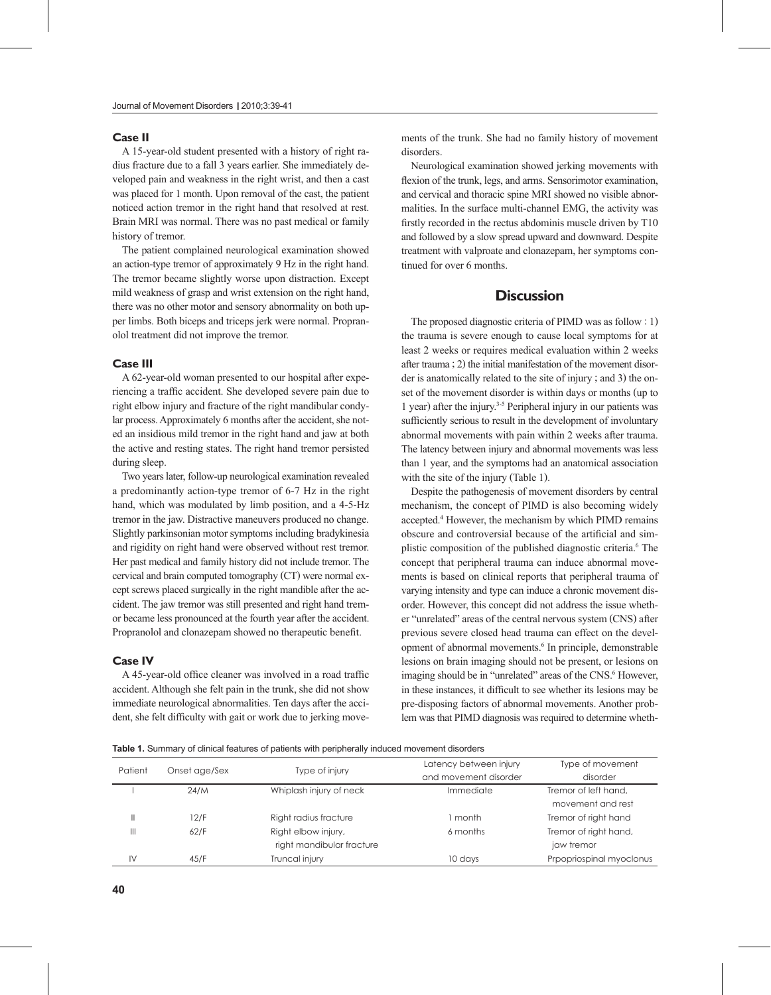## **Case II**

A 15-year-old student presented with a history of right radius fracture due to a fall 3 years earlier. She immediately developed pain and weakness in the right wrist, and then a cast was placed for 1 month. Upon removal of the cast, the patient noticed action tremor in the right hand that resolved at rest. Brain MRI was normal. There was no past medical or family history of tremor.

The patient complained neurological examination showed an action-type tremor of approximately 9 Hz in the right hand. The tremor became slightly worse upon distraction. Except mild weakness of grasp and wrist extension on the right hand, there was no other motor and sensory abnormality on both upper limbs. Both biceps and triceps jerk were normal. Propranolol treatment did not improve the tremor.

#### **Case III**

A 62-year-old woman presented to our hospital after experiencing a traffic accident. She developed severe pain due to right elbow injury and fracture of the right mandibular condylar process. Approximately 6 months after the accident, she noted an insidious mild tremor in the right hand and jaw at both the active and resting states. The right hand tremor persisted during sleep.

Two years later, follow-up neurological examination revealed a predominantly action-type tremor of 6-7 Hz in the right hand, which was modulated by limb position, and a 4-5-Hz tremor in the jaw. Distractive maneuvers produced no change. Slightly parkinsonian motor symptoms including bradykinesia and rigidity on right hand were observed without rest tremor. Her past medical and family history did not include tremor. The cervical and brain computed tomography (CT) were normal except screws placed surgically in the right mandible after the accident. The jaw tremor was still presented and right hand tremor became less pronounced at the fourth year after the accident. Propranolol and clonazepam showed no therapeutic benefit.

## **Case IV**

A 45-year-old office cleaner was involved in a road traffic accident. Although she felt pain in the trunk, she did not show immediate neurological abnormalities. Ten days after the accident, she felt difficulty with gait or work due to jerking movements of the trunk. She had no family history of movement disorders.

Neurological examination showed jerking movements with flexion of the trunk, legs, and arms. Sensorimotor examination, and cervical and thoracic spine MRI showed no visible abnormalities. In the surface multi-channel EMG, the activity was firstly recorded in the rectus abdominis muscle driven by T10 and followed by a slow spread upward and downward. Despite treatment with valproate and clonazepam, her symptoms continued for over 6 months.

## **Discussion**

The proposed diagnostic criteria of PIMD was as follow : 1) the trauma is severe enough to cause local symptoms for at least 2 weeks or requires medical evaluation within 2 weeks after trauma ; 2) the initial manifestation of the movement disorder is anatomically related to the site of injury ; and 3) the onset of the movement disorder is within days or months (up to 1 year) after the injury.3-5 Peripheral injury in our patients was sufficiently serious to result in the development of involuntary abnormal movements with pain within 2 weeks after trauma. The latency between injury and abnormal movements was less than 1 year, and the symptoms had an anatomical association with the site of the injury (Table 1).

Despite the pathogenesis of movement disorders by central mechanism, the concept of PIMD is also becoming widely accepted.4 However, the mechanism by which PIMD remains obscure and controversial because of the artificial and simplistic composition of the published diagnostic criteria.<sup>6</sup> The concept that peripheral trauma can induce abnormal movements is based on clinical reports that peripheral trauma of varying intensity and type can induce a chronic movement disorder. However, this concept did not address the issue whether "unrelated" areas of the central nervous system (CNS) after previous severe closed head trauma can effect on the development of abnormal movements.<sup>6</sup> In principle, demonstrable lesions on brain imaging should not be present, or lesions on imaging should be in "unrelated" areas of the CNS.<sup>6</sup> However, in these instances, it difficult to see whether its lesions may be pre-disposing factors of abnormal movements. Another problem was that PIMD diagnosis was required to determine wheth-

**Table 1.** Summary of clinical features of patients with peripherally induced movement disorders

| Patient | Onset age/Sex | Type of injury            | Latency between injury | Type of movement         |
|---------|---------------|---------------------------|------------------------|--------------------------|
|         |               |                           | and movement disorder  | disorder                 |
|         | 24/M          | Whiplash injury of neck   | Immediate              | Tremor of left hand,     |
|         |               |                           |                        | movement and rest        |
| Ш       | 12/F          | Right radius fracture     | month                  | Tremor of right hand     |
| Ш       | 62/F          | Right elbow injury,       | 6 months               | Tremor of right hand,    |
|         |               | right mandibular fracture |                        | jaw tremor               |
| IV      | 45/F          | Truncal injury            | 10 days                | Prpopriospinal myoclonus |
|         |               |                           |                        |                          |